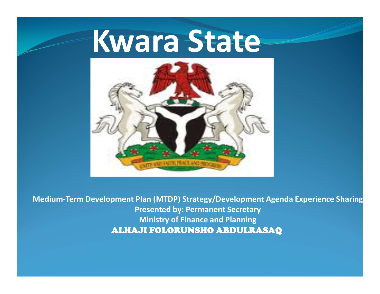## Kwara State



Medium-Term Development Plan (MTDP) Strategy/Development Agenda Experience Sharing Presented by: Permanent Secretary Ministry of Finance and Planning ALHAJI FOLORUNSHO ABDULRASAQ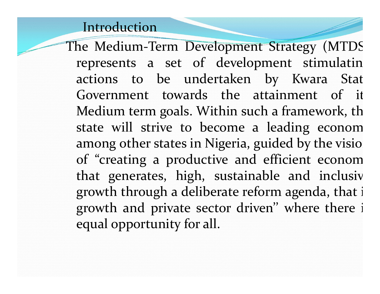### Introduction

Introduction<br>The Medium-Term Development Strategy (MTDS)<br>represents a set of development stimulatin<br>actions to be undertaken by Kwara Stat Introduction<br>he Medium-Term Development Strategy (MTDS<br>represents a set of development stimulatin<br>actions to be undertaken by Kwara Stat<br>Government towards the attainment of it Introduction<br>
he Medium-Term Development Strategy (MTDS<br>
represents a set of development stimulatin<br>
actions to be undertaken by Kwara Stat<br>
Government towards the attainment of it<br>
Medium term goals. Within such a framewo Introduction<br>
he Medium-Term Development Strategy (MTDS<br>
represents a set of development stimulatin<br>
actions to be undertaken by Kwara Stat<br>
Government towards the attainment of it<br>
Medium term goals. Within such a framewo Introduction<br>he Medium-Term Development Strategy (MTDS<br>represents a set of development stimulatin<br>actions to be undertaken by Kwara Stat<br>Government towards the attainment of it<br>Medium term goals. Within such a framework, t Introduction<br>he Medium-Term Development Strategy (MTDS<br>represents a set of development stimulatin<br>actions to be undertaken by Kwara Stat<br>Government towards the attainment of it<br>Medium term goals. Within such a framework, t Introduction<br>he Medium-Term Development Strategy (MTDS<br>represents a set of development stimulatin<br>actions to be undertaken by Kwara Stat<br>Government towards the attainment of it<br>Medium term goals. Within such a framework, t he Medium-Term Development Strategy (MTDS<br>represents a set of development stimulatin<br>actions to be undertaken by Kwara Stat<br>Government towards the attainment of it<br>Medium term goals. Within such a framework, th<br>state will represents a set of development stimulatin<br>actions to be undertaken by Kwara Stat<br>Government towards the attainment of it<br>Medium term goals. Within such a framework, th<br>state will strive to become a leading econom<br>among ot actions to be undertaken by Kwara Stat<br>Government towards the attainment of it<br>Medium term goals. Within such a framework, th<br>state will strive to become a leading econom<br>among other states in Nigeria, guided by the visio<br> Government towards the attainment of it<br>Medium-term-goals. Within-such-a-framework, th<br>state will strive to become a leading econom<br>among other-states in Nigeria, guided by the visio<br>of "creating a productive and efficient Medium term goals. Within such a framework, the state will strive to become a leading econom among other states in Nigeria, guided by the visit of "creating a productive and efficient econom that generates, high, sustainab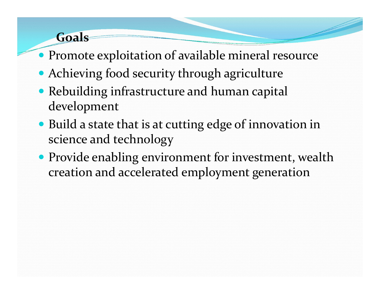### Goals

- Promote exploitation of available mineral resource
- Achieving food security through agriculture
- Rebuilding infrastructure and human capital development
- Build a state that is at cutting edge of innovation in science and technology
- Provide enabling environment for investment, wealth creation and accelerated employment generation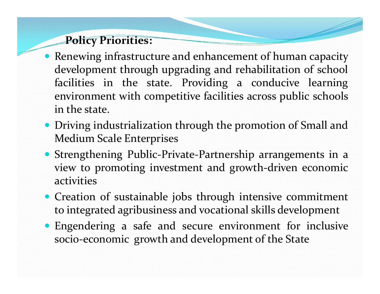- Policy Priorities:<br>Policy Priorities:<br>enewing infrastructure and enhancement<br>velopment through upgrading and reha **Policy Priorities:**<br>
Renewing infrastructure and enhancement of human capacity<br>
development through upgrading and rehabilitation of school<br>
facilities in the state. Providing a conducive learning **Policy Priorities:**<br>Renewing infrastructure and enhancement of human capacity<br>development through upgrading and rehabilitation of school<br>facilities in the state. Providing a conducive learning<br>environment with competitive **Policy Priorities:**<br>Renewing infrastructure and enhancement of human capacity<br>development through upgrading and rehabilitation of school<br>facilities in the state. Providing a conducive learning<br>environment with competitive **Policy Priorities:**<br>Renewing infrastructure and enhancement of human capacity<br>development through upgrading and rehabilitation of school<br>facilities in the state. Providing a conducive learning<br>environment with competitive **Policy Priorities:**<br>Renewing infrastructure and enhancem<br>development through upgrading and refacilities in the state. Providing a<br>environment with competitive facilities<br>in the state.<br>Driving industrialization through the **Policy Priorities:**<br>
• Renewing infrastructure and enhancement of human capacity<br>
development through upgrading and rehabilitation of school<br>
facilities in the state. Providing a conducive learning<br>
environment with compe **Policy Priorities:**<br>Renewing infrastructure and enhancement of hidevelopment through upgrading and rehabilita<br>facilities in the state. Providing a condu<br>environment with competitive facilities across j<br>in the state.<br>Drivi **Policy Priorities:**<br> **Examplement through upgrading and rehabilitation of school**<br>
facilities in the state. Providing a conducive learning<br>
environment with competitive facilities across public schools<br>
in the state.<br>
• D Renewing infrastructure and enhancement of human capacity<br>development through upgrading and rehabilitation of school<br>facilities in the state. Providing a conducive learning<br>environment with competitive facilities across pu
- 
- activities facilities in the state. Providing a conducive learning<br>environment with competitive facilities across public schools<br>in the state.<br><br>Driving industrialization through the promotion of Small and<br>Medium Scale Enterprises<br>Str environment with competitive facilities across public schools<br>in the state.<br>Driving industrialization through the promotion of Small and<br>Medium Scale Enterprises<br>Strengthening Public-Private-Partnership arrangements in a<br>v In the state.<br>
• Driving industrialization through the promotion of Small and<br>
Medium Scale Enterprises<br>
• Strengthening Public-Private-Partnership arrangements in a<br>
view to promoting investment and growth-driven economic Driving industrialization through the promotion of Small and<br>Medium Scale Enterprises<br>Strengthening Public-Private-Partnership arrangements in a<br>view to promoting investment and growth-driven economic<br>activities<br>Creation o
- 
-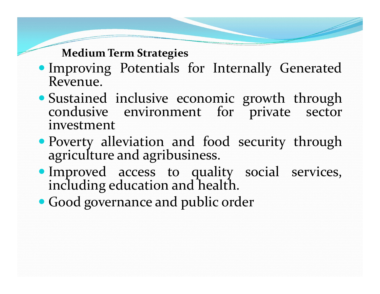### Medium Term Strategies

- Medium Term Strategies<br>
 Improving Potentials for Internally Generated<br>
Revenue.<br>
 Sustained inclusive economic growth through Revenue.
- Medium Term Strategies<br>
 Improving Potentials for Internally Generated<br>
Revenue.<br>
 Sustained inclusive economic growth through<br>
condusive environment for private sector<br>
investment Medium Term Strategies<br>
Improving Potentials for Internally Generated<br>
Revenue.<br>
Sustained inclusive economic growth through<br>
condusive environment for private sector<br>
investment<br>
Poverty alleviation and food security thro investment Medium Term Strategies<br>
Improving Potentials for Internally Generated<br>
Revenue.<br>
• Sustained inclusive economic growth through<br>
condusive environment for private sector<br>
investment<br>
• Poverty alleviation and food security Medium Term Strategies<br>
Improving Potentials for Internally Ger<br>
Revenue.<br>
Sustained inclusive economic growth the<br>
condusive environment for private<br>
investment<br>
Poverty alleviation and food security the<br>
agriculture and Improving Potentials for Internally Generated<br>
Revenue.<br>
Sustained inclusive economic growth through<br>
condusive environment for private sector<br>
investment<br>
Poverty alleviation and food security through<br>
agriculture and agr • Sustained inclusive economic growth through<br>
condusive environment for private sector<br>
investment<br>
• Poverty alleviation and food security through<br>
agriculture and agribusiness.<br>
• Improved access to quality social servi
- 
- 
-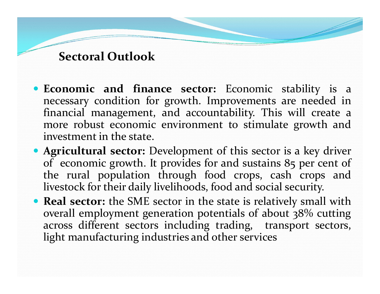- Sectoral Outlook<br>Sectoral Outlook<br>pnomic and finance sector: Econom Sectoral Outlook<br>
• Economic and finance sector: Economic stability is a<br>
necessary condition for growth. Improvements are needed in<br>
financial management, and accountability. This will create a<br>
more robust economic envir **Sectoral Outlook**<br>**Economic and finance sector:** Economic stability is a<br>necessary condition for growth. Improvements are needed in<br>financial management, and accountability. This will create a<br>more robust economic environ **Sectoral Outlook**<br>**Economic and finance sector:** Economic stability is a necessary condition for growth. Improvements are needed in financial management, and accountability. This will create a more robust economic environ **Sectoral Outlook**<br>**Economic and finance sector:** Economic stability is a<br>necessary condition for growth. Improvements are needed in<br>financial management, and accountability. This will create a<br>more robust economic environ **Sectoral Outlook**<br> **Economic and finance sector:** Economic s<br>
necessary condition for growth. Improvements a<br>
financial management, and accountability. This<br>
more robust economic environment to stimulate<br>
investment in th **Sectoral Outlook**<br>
• **Economic and finance sector:** Economic stability is a necessary condition for growth. Improvements are needed in financial management, and accountability. This will create a more robust economic envi **Sectoral Outlook**<br> **Economic and finance sector:** Economic stability is a<br>
necessary condition for growth. Improvements are needed in<br>
financial management, and accountability. This will create a<br>
more robust economic env **Economic and finance sector:** Economic stability is a necessary condition for growth. Improvements are needed in financial management, and accountability. This will create a more robust economic environment to stimulate g **Economic and finance sector:** Economic stability is a necessary condition for growth. Improvements are needed in financial management, and accountability. This will create a more robust economic environment to stimulate g **Example 18 and finance sector:** Economic stability is a necessary condition for growth. Improvements are needed in financial management, and accountability. This will create a more robust economic environment to stimulate necessary condition for growth. Improvements are needed in financial management, and accountability. This will create a more robust economic environment to stimulate growth and investment in the state.<br>Agricultural sector:
- 
- financial management, and accountability. This will create a<br>more robust economic environment to stimulate growth and<br>investment in the state.<br>**Agricultural sector:** Development of this sector is a key driver<br>of economic g more robust economic environment to stimulate growth and<br>investment in the state.<br>**Agricultural sector:** Development of this sector is a key driver<br>of economic growth. It provides for and sustains 85 per cent of<br>the rural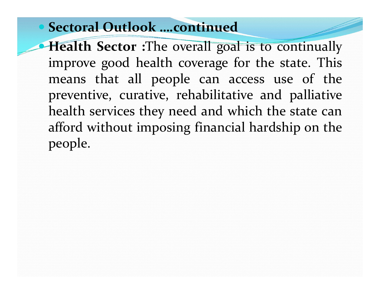• Sectoral Outlook ....continued<br>• Health Sector :The overall goal is to continua<br>• improve good health coverage for the state. The • **Sectoral Outlook ....continued**<br>• **Health Sector** :The overall goal is to continually improve good health coverage for the state. This means that all people can access use of the **Sectoral Outlook ....continued<br>Health Sector :The overall goal is to continually<br>improve good health coverage for the state. This<br>means that all people can access use of the<br>preventive, curative, rehabilitative and pallia Sectoral Outlook ....continued**<br>**Health Sector** :The overall goal is to continually<br>improve good health coverage for the state. This<br>means that all people can access use of the<br>preventive, curative, rehabilitative and pal **Sectoral Outlook ....continued**<br>**Health Sector** :The overall goal is to continually<br>improve good health coverage for the state. This<br>means that all people can access use of the<br>preventive, curative, rehabilitative and pal **Sectoral Outlook ....continued**<br>**Health Sector** :The overall goal is to continually<br>improve good health coverage for the state. This<br>means that all people can access use of the<br>preventive, curative, rehabilitative and pal **Sectoral Outlook ....continued**<br>**Health Sector :**The overall goal is to continually<br>improve good health coverage for the state. This<br>means that all people can access use of the<br>preventive, curative, rehabilitative and pal people.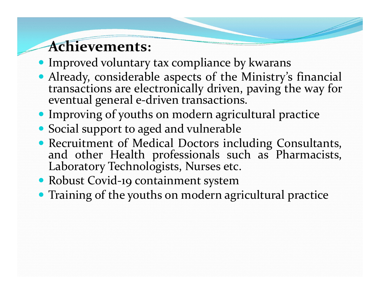### Achievements:

- 
- Achievements:<br>
 Improved voluntary tax compliance by kwarans<br>
 Already, considerable aspects of the Ministry's financial<br>
transactions are electronically driven, paving the way for<br>
eventual general e-driven transactions Achievements:<br>
• Improved voluntary tax compliance by kwarans<br>
• Already, considerable aspects of the Ministry's financial<br>
transactions are electronically driven, paving the way for<br>
• eventual general e-driven transactio **Achievements:**<br>
• Improved voluntary tax compliance by kwarans<br>
• Already, considerable aspects of the Ministry's financial<br>
transactions are electronically driven, paving the way for<br>
• eventual general e-driven transact Achievements:<br>
• Improved voluntary tax compliance by kwarans<br>
• Already, considerable aspects of the Ministry's financial<br>
transactions are electronically driven, paving the way for<br>
• Improving of youths on modern agricu
- 
- 
- Achievements:<br>
 Improved voluntary tax compliance by kwarans<br>
 Already, considerable aspects of the Ministry's financial<br>
transactions are electronically driven, paving the way for<br>
 Unproving of youths on modern agricu • Improved voluntary tax compilance by Kwarans<br>
• Already, considerable aspects of the Ministry's financial<br>
transactions are electronically driven, paving the way for<br>
• eventual general e-driven transactions.<br>
• Improvin • Already, considerable aspects of the Ministry's imancial<br>transactions are electronically driven, paving the way for<br>eventual general e-driven transactions.<br>• Improving of youths on modern agricultural practice<br>• Social s
- 
-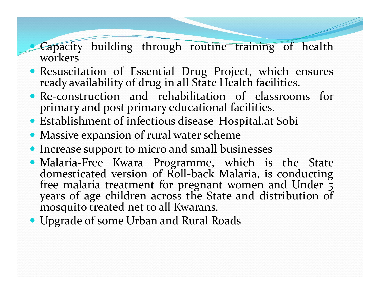Capacity building through routine training of health<br>
workers<br>
• Resuscitation of Essential Drug Project, which ensures<br>
ready availability of drug in all State Health facilities

- Capacity building through routine training of health<br>workers<br>• Resuscitation of Essential Drug Project, which ensures<br>ready availability of drug in all State Health facilities.<br>• Re-construction and rehabilitation of class
- **Capacity building through routine training of health workers**<br>Resuscitation of Essential Drug Project, which ensures<br>ready availability of drug in all State Health facilities.<br>Re-construction and rehabilitation of classro Capacity building through routine training of health<br>workers<br>
• Resuscitation of Essential Drug Project, which ensures<br>
ready availability of drug in all State Health facilities.<br>
• Re-construction and rehabilitation of cl Capacity building through routine training of health<br>workers<br>Resuscitation of Essential Drug Project, which ensures<br>ready availability of drug in all State Health facilities.<br>Re-construction and rehabilitation of classroom Capacity building through routine training of health<br>workers<br>• Resuscitation of Essential Drug Project, which ensures<br>ready availability of drug in all State Health facilities.<br>• Re-construction and rehabilitation of class Capacity building through routine training of health<br>
workers<br>
• Resuscitation of Essential Drug Project, which ensures<br>
ready availability of drug in all State Health facilities.<br>
• Re-construction and rehabilitation of c
- 
- 
- 
- **Example 19 (Capacity building through routine training of health workers**<br> **Example 19 (Capacity Algermic Algermic Project, which ensures ready availability of drug in all State Health facilities.**<br> **PRE-CONSTRUCTION AND** Capacity building through routine training of health<br>
workers<br>
• Resuscitation of Essential Drug Project, which ensures<br>
ready availability of drug in all State Health facilities.<br>
• Re-construction and rehabilitation of c Resuscitation of Essential Drug Project, which ensures<br>ready availability of drug in all State Health facilities.<br>Re-construction and rehabilitation of classrooms for<br>primary and post primary educational facilities.<br>Establ primary and post primary educational facilities.<br>
• Establishment of infectious disease Hospital.at Sobi<br>
• Massive expansion of rural water scheme<br>
• Increase support to micro and small businesses<br>
• Malaria-Free Kwara Pr
-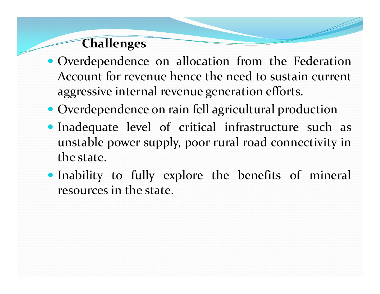### **Challenges**

- Challenges<br>
 Overdependence on allocation from the Federation<br>
Account for revenue hence the need to sustain current<br>
aggressive internal revenue generation efforts. **Challenges**<br>
Constant constants over<br>
Constants of revenue hence the need to sustain current<br>
Account for revenue hence the need to sustain current<br>
aggressive internal revenue generation efforts.<br>
Constants over the prod **Challenges**<br>
Overdependence on allocation from the Federation<br>
Account for revenue hence the need to sustain current<br>
aggressive internal revenue generation efforts.<br>
Overdependence on rain fell agricultural production<br>
I **Challenges**<br>
• Overdependence on allocation from the Federation<br>
Account for revenue hence the need to sustain current<br>
aggressive internal revenue generation efforts.<br>
• Overdependence on rain fell agricultural productio
- 
- **Challenges**<br>
 Overdependence on allocation from the Federation<br>
Account for revenue hence the need to sustain current<br>
aggressive internal revenue generation efforts.<br>
 Overdependence on rain fell agricultural productio Challenges<br>
Overdependence on allocation from the Federation<br>
Account for revenue hence the need to sustain current<br>
aggressive internal revenue generation efforts.<br>
Overdependence on rain fell agricultural production<br>
Ina Challenges<br>Overdependence on allocation<br>Account for revenue hence the naggressive internal revenue gener<br>Overdependence on rain fell agric<br>Inadequate level of critical in<br>unstable power supply, poor rura<br>the state.<br>Inabili • Overdependence on allocation from the Federation<br>Account for revenue hence the need to sustain current<br>aggressive internal revenue generation efforts.<br>• Overdependence on rain fell agricultural production<br>• Inadequate le Account for revenue hence the need to sustain<br>aggressive internal revenue generation efforts.<br>Overdependence on rain fell agricultural prod<br>Inadequate level of critical infrastructure<br>unstable power supply, poor rural road
-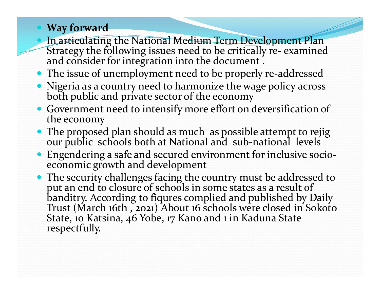### Way forward

- **In articulating the National Medium Term Development Plan**<br> **In articulating the National Medium Term Development Plan**<br> **In articular Strategy the following issues need to be critically re- examined<br>
 The issue of unemp**
- The issue of unemployment need to be properly re-addressed
- Nigeria as a country need to harmonize the wage policy across both public and private sector of the economy
- Government need to intensify more effort on deversification of the economy
- The proposed plan should as much as possible attempt to rejig our public schools both at National and sub-national levels
- Engendering a safe and secured environment for inclusive socio- economic growth and development
- The security challenges facing the country must be addressed to<br>put an end to closure of schools in some states as a result of<br>banditry. According to fiqures complied and published by Daily<br>Trust (March 16th, 2021) About 1 State, 10 Katsina, 46 Yobe, 17 Kano and 1 in Kaduna State respectfully.